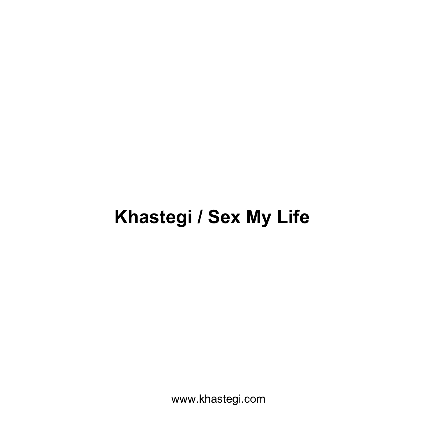# **Khastegi / Sex My Life**

www.khastegi.com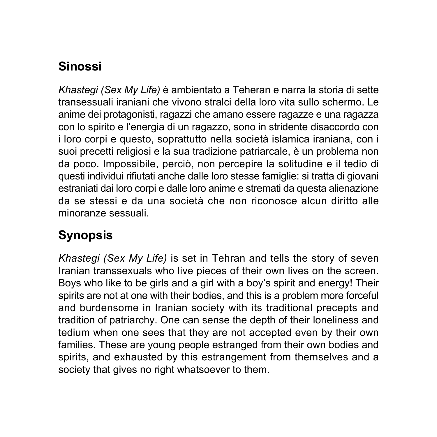## **Sinossi**

*Khastegi (Sex My Life)* è ambientato a Teheran e narra la storia di sette transessuali iraniani che vivono stralci della loro vita sullo schermo. Le anime dei protagonisti, ragazzi che amano essere ragazze e una ragazza con lo spirito e l'energia di un ragazzo, sono in stridente disaccordo con i loro corpi e questo, soprattutto nella società islamica iraniana, con i suoi precetti religiosi e la sua tradizione patriarcale, è un problema non da poco. Impossibile, perciò, non percepire la solitudine e il tedio di questi individui rifiutati anche dalle loro stesse famiglie: si tratta di giovani estraniati dai loro corpi e dalle loro anime e stremati da questa alienazione da se stessi e da una società che non riconosce alcun diritto alle minoranze sessuali.

## **Synopsis**

*Khastegi (Sex My Life)* is set in Tehran and tells the story of seven Iranian transsexuals who live pieces of their own lives on the screen. Boys who like to be girls and a girl with a boy's spirit and energy! Their spirits are not at one with their bodies, and this is a problem more forceful and burdensome in Iranian society with its traditional precepts and tradition of patriarchy. One can sense the depth of their loneliness and tedium when one sees that they are not accepted even by their own families. These are young people estranged from their own bodies and spirits, and exhausted by this estrangement from themselves and a society that gives no right whatsoever to them.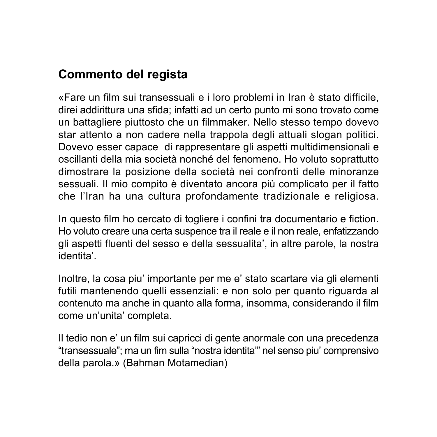#### **Commento del regista**

«Fare un film sui transessuali e i loro problemi in Iran è stato difficile, direi addirittura una sfida; infatti ad un certo punto mi sono trovato come un battagliere piuttosto che un filmmaker. Nello stesso tempo dovevo star attento a non cadere nella trappola degli attuali slogan politici. Dovevo esser capace di rappresentare gli aspetti multidimensionali e oscillanti della mia società nonché del fenomeno. Ho voluto soprattutto dimostrare la posizione della società nei confronti delle minoranze sessuali. Il mio compito è diventato ancora più complicato per il fatto che l'Iran ha una cultura profondamente tradizionale e religiosa.

In questo film ho cercato di togliere i confini tra documentario e fiction. Ho voluto creare una certa suspence tra il reale e il non reale, enfatizzando gli aspetti fluenti del sesso e della sessualita', in altre parole, la nostra identita'.

Inoltre, la cosa piu' importante per me e' stato scartare via gli elementi futili mantenendo quelli essenziali: e non solo per quanto riguarda al contenuto ma anche in quanto alla forma, insomma, considerando il film come un'unita' completa.

Il tedio non e' un film sui capricci di gente anormale con una precedenza "transessuale"; ma un fim sulla "nostra identita'" nel senso piu' comprensivo della parola.» (Bahman Motamedian)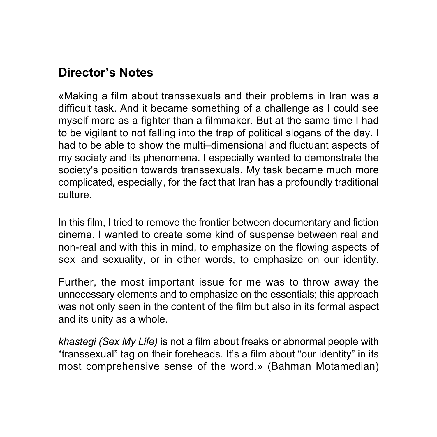#### **Director's Notes**

«Making a film about transsexuals and their problems in Iran was a difficult task. And it became something of a challenge as I could see myself more as a fighter than a filmmaker. But at the same time I had to be vigilant to not falling into the trap of political slogans of the day. I had to be able to show the multi–dimensional and fluctuant aspects of my society and its phenomena. I especially wanted to demonstrate the society's position towards transsexuals. My task became much more complicated, especially, for the fact that Iran has a profoundly traditional culture.

In this film, I tried to remove the frontier between documentary and fiction cinema. I wanted to create some kind of suspense between real and non-real and with this in mind, to emphasize on the flowing aspects of sex and sexuality, or in other words, to emphasize on our identity.

Further, the most important issue for me was to throw away the unnecessary elements and to emphasize on the essentials; this approach was not only seen in the content of the film but also in its formal aspect and its unity as a whole.

*khastegi (Sex My Life)* is not a film about freaks or abnormal people with "transsexual" tag on their foreheads. It's a film about "our identity" in its most comprehensive sense of the word.» (Bahman Motamedian)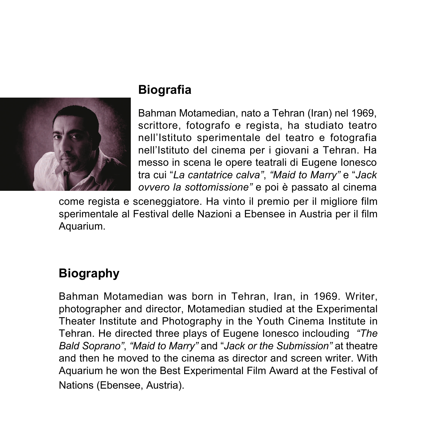

## **Biografia**

Bahman Motamedian, nato a Tehran (Iran) nel 1969, scrittore, fotografo e regista, ha studiato teatro nell'Istituto sperimentale del teatro e fotografia nell'Istituto del cinema per i giovani a Tehran. Ha messo in scena le opere teatrali di Eugene Ionesco tra cui "*La cantatrice calva"*, *"Maid to Marry"* e "*Jack ovvero la sottomissione"* e poi è passato al cinema

come regista e sceneggiatore. Ha vinto il premio per il migliore film sperimentale al Festival delle Nazioni a Ebensee in Austria per il film Aquarium.

# **Biography**

Bahman Motamedian was born in Tehran, Iran, in 1969. Writer, photographer and director, Motamedian studied at the Experimental Theater Institute and Photography in the Youth Cinema Institute in Tehran. He directed three plays of Eugene Ionesco inclouding *"The Bald Soprano"*, *"Maid to Marry"* and "*Jack or the Submission"* at theatre and then he moved to the cinema as director and screen writer. With Aquarium he won the Best Experimental Film Award at the Festival of Nations (Ebensee, Austria).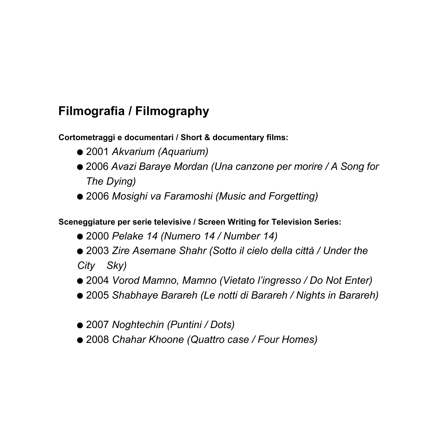## **Filmografia / Filmography**

**Cortometraggi e documentari / Short & documentary films:**

- *Akvarium (Aquarium)*
- *Avazi Baraye Mordan (Una canzone per morire / A Song for The Dying)*
- *Mosighi va Faramoshi (Music and Forgetting)*

**Sceneggiature per serie televisive / Screen Writing for Television Series:**

- *Pelake 14 (Numero 14 / Number 14)*
- *Zire Asemane Shahr (Sotto il cielo della città / Under the City Sky)*
- *Vorod Mamno, Mamno (Vietato l'ingresso / Do Not Enter)*
- *Shabhaye Barareh (Le notti di Barareh / Nights in Barareh)*
- *Noghtechin (Puntini / Dots)*
- *Chahar Khoone (Quattro case / Four Homes)*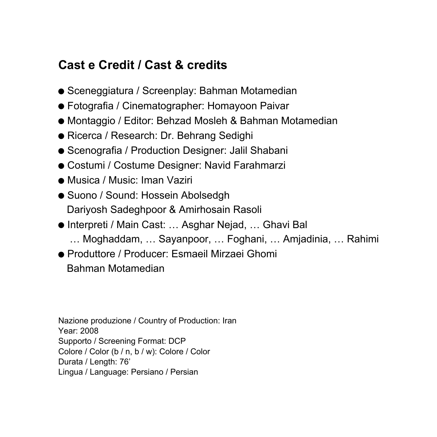#### **Cast e Credit / Cast & credits**

- Sceneggiatura / Screenplay: Bahman Motamedian
- Fotografia / Cinematographer: Homayoon Paivar
- Montaggio / Editor: Behzad Mosleh & Bahman Motamedian
- Ricerca / Research: Dr. Behrang Sedighi
- Scenografia / Production Designer: Jalil Shabani
- Costumi / Costume Designer: Navid Farahmarzi
- Musica / Music: Iman Vaziri
- Suono / Sound: Hossein Abolsedgh Dariyosh Sadeghpoor & Amirhosain Rasoli
- Interpreti / Main Cast: … Asghar Nejad, … Ghavi Bal
	- … Moghaddam, … Sayanpoor, … Foghani, … Amjadinia, … Rahimi
- Produttore / Producer: Esmaeil Mirzaei Ghomi Bahman Motamedian

Nazione produzione / Country of Production: Iran Year: 2008 Supporto / Screening Format: DCP Colore / Color (b / n, b / w): Colore / Color Durata / Length: 76' Lingua / Language: Persiano / Persian